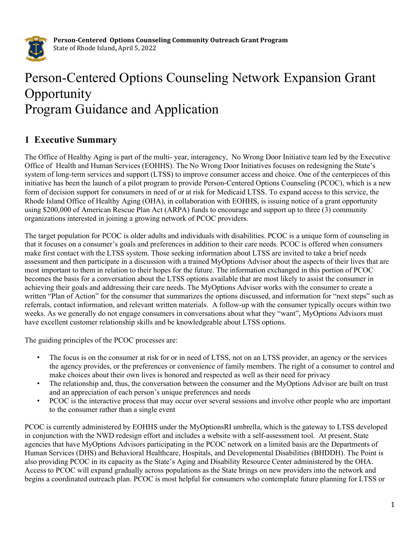

# Person-Centered Options Counseling Network Expansion Grant **Opportunity** Program Guidance and Application

# 1 Executive Summary

The Office of Healthy Aging is part of the multi- year, interagency, No Wrong Door Initiative team led by the Executive Office of Health and Human Services (EOHHS). The No Wrong Door Initiatives focuses on redesigning the State's system of long-term services and support (LTSS) to improve consumer access and choice. One of the centerpieces of this initiative has been the launch of a pilot program to provide Person-Centered Options Counseling (PCOC), which is a new form of decision support for consumers in need of or at risk for Medicaid LTSS. To expand access to this service, the Rhode Island Office of Healthy Aging (OHA), in collaboration with EOHHS, is issuing notice of a grant opportunity using \$200,000 of American Rescue Plan Act (ARPA) funds to encourage and support up to three (3) community organizations interested in joining a growing network of PCOC providers.

The target population for PCOC is older adults and individuals with disabilities. PCOC is a unique form of counseling in that it focuses on a consumer's goals and preferences in addition to their care needs. PCOC is offered when consumers make first contact with the LTSS system. Those seeking information about LTSS are invited to take a brief needs assessment and then participate in a discussion with a trained MyOptions Advisor about the aspects of their lives that are most important to them in relation to their hopes for the future. The information exchanged in this portion of PCOC becomes the basis for a conversation about the LTSS options available that are most likely to assist the consumer in achieving their goals and addressing their care needs. The MyOptions Advisor works with the consumer to create a written "Plan of Action" for the consumer that summarizes the options discussed, and information for "next steps" such as referrals, contact information, and relevant written materials. A follow-up with the consumer typically occurs within two weeks. As we generally do not engage consumers in conversations about what they "want", MyOptions Advisors must have excellent customer relationship skills and be knowledgeable about LTSS options.

The guiding principles of the PCOC processes are:

- The focus is on the consumer at risk for or in need of LTSS, not on an LTSS provider, an agency or the services the agency provides, or the preferences or convenience of family members. The right of a consumer to control and make choices about their own lives is honored and respected as well as their need for privacy
- The relationship and, thus, the conversation between the consumer and the MyOptions Advisor are built on trust and an appreciation of each person's unique preferences and needs
- PCOC is the interactive process that may occur over several sessions and involve other people who are important to the consumer rather than a single event

PCOC is currently administered by EOHHS under the MyOptionsRI umbrella, which is the gateway to LTSS developed in conjunction with the NWD redesign effort and includes a website with a self-assessment tool. At present, State agencies that have MyOptions Advisors participating in the PCOC network on a limited basis are the Departments of Human Services (DHS) and Behavioral Healthcare, Hospitals, and Developmental Disabilities (BHDDH). The Point is also providing PCOC in its capacity as the State's Aging and Disability Resource Center administered by the OHA. Access to PCOC will expand gradually across populations as the State brings on new providers into the network and begins a coordinated outreach plan. PCOC is most helpful for consumers who contemplate future planning for LTSS or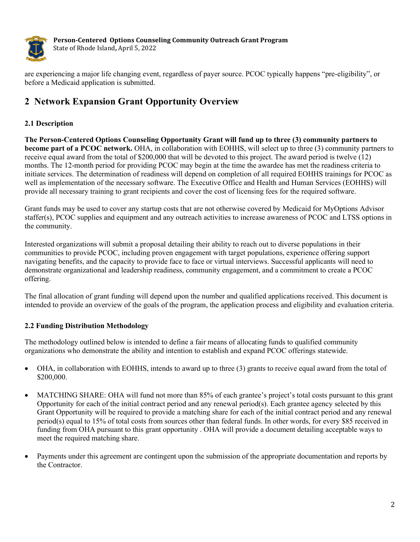

are experiencing a major life changing event, regardless of payer source. PCOC typically happens "pre-eligibility", or before a Medicaid application is submitted.

# 2 Network Expansion Grant Opportunity Overview

## 2.1 Description

The Person-Centered Options Counseling Opportunity Grant will fund up to three (3) community partners to become part of a PCOC network. OHA, in collaboration with EOHHS, will select up to three (3) community partners to receive equal award from the total of \$200,000 that will be devoted to this project. The award period is twelve (12) months. The 12-month period for providing PCOC may begin at the time the awardee has met the readiness criteria to initiate services. The determination of readiness will depend on completion of all required EOHHS trainings for PCOC as well as implementation of the necessary software. The Executive Office and Health and Human Services (EOHHS) will provide all necessary training to grant recipients and cover the cost of licensing fees for the required software.

Grant funds may be used to cover any startup costs that are not otherwise covered by Medicaid for MyOptions Advisor staffer(s), PCOC supplies and equipment and any outreach activities to increase awareness of PCOC and LTSS options in the community.

Interested organizations will submit a proposal detailing their ability to reach out to diverse populations in their communities to provide PCOC, including proven engagement with target populations, experience offering support navigating benefits, and the capacity to provide face to face or virtual interviews. Successful applicants will need to demonstrate organizational and leadership readiness, community engagement, and a commitment to create a PCOC offering.

The final allocation of grant funding will depend upon the number and qualified applications received. This document is intended to provide an overview of the goals of the program, the application process and eligibility and evaluation criteria.

# 2.2 Funding Distribution Methodology

The methodology outlined below is intended to define a fair means of allocating funds to qualified community organizations who demonstrate the ability and intention to establish and expand PCOC offerings statewide.

- OHA, in collaboration with EOHHS, intends to award up to three (3) grants to receive equal award from the total of \$200,000.
- MATCHING SHARE: OHA will fund not more than 85% of each grantee's project's total costs pursuant to this grant Opportunity for each of the initial contract period and any renewal period(s). Each grantee agency selected by this Grant Opportunity will be required to provide a matching share for each of the initial contract period and any renewal period(s) equal to 15% of total costs from sources other than federal funds. In other words, for every \$85 received in funding from OHA pursuant to this grant opportunity . OHA will provide a document detailing acceptable ways to meet the required matching share.
- Payments under this agreement are contingent upon the submission of the appropriate documentation and reports by the Contractor.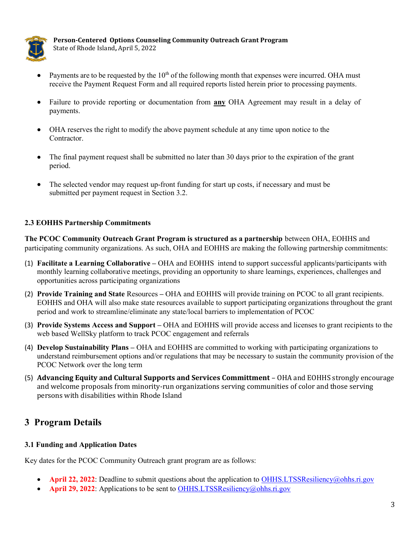

- Payments are to be requested by the 10<sup>th</sup> of the following month that expenses were incurred. OHA must receive the Payment Request Form and all required reports listed herein prior to processing payments.
- Failure to provide reporting or documentation from any OHA Agreement may result in a delay of payments.
- OHA reserves the right to modify the above payment schedule at any time upon notice to the Contractor.
- The final payment request shall be submitted no later than 30 days prior to the expiration of the grant period.
- The selected vendor may request up-front funding for start up costs, if necessary and must be submitted per payment request in Section 3.2.

#### 2.3 EOHHS Partnership Commitments

The PCOC Community Outreach Grant Program is structured as a partnership between OHA, EOHHS and participating community organizations. As such, OHA and EOHHS are making the following partnership commitments:

- (1) Facilitate a Learning Collaborative OHA and EOHHS intend to support successful applicants/participants with monthly learning collaborative meetings, providing an opportunity to share learnings, experiences, challenges and opportunities across participating organizations
- (2) Provide Training and State Resources OHA and EOHHS will provide training on PCOC to all grant recipients. EOHHS and OHA will also make state resources available to support participating organizations throughout the grant period and work to streamline/eliminate any state/local barriers to implementation of PCOC
- (3) Provide Systems Access and Support OHA and EOHHS will provide access and licenses to grant recipients to the web based WellSky platform to track PCOC engagement and referrals
- (4) Develop Sustainability Plans OHA and EOHHS are committed to working with participating organizations to understand reimbursement options and/or regulations that may be necessary to sustain the community provision of the PCOC Network over the long term
- (5) Advancing Equity and Cultural Supports and Services Committment OHA and EOHHS strongly encourage and welcome proposals from minority-run organizations serving communities of color and those serving persons with disabilities within Rhode Island

# 3 Program Details

#### 3.1 Funding and Application Dates

Key dates for the PCOC Community Outreach grant program are as follows:

- April 22, 2022: Deadline to submit questions about the application to OHHS.LTSSResiliency@ohhs.ri.gov
- April 29, 2022: Applications to be sent to OHHS.LTSSResiliency@ohhs.ri.gov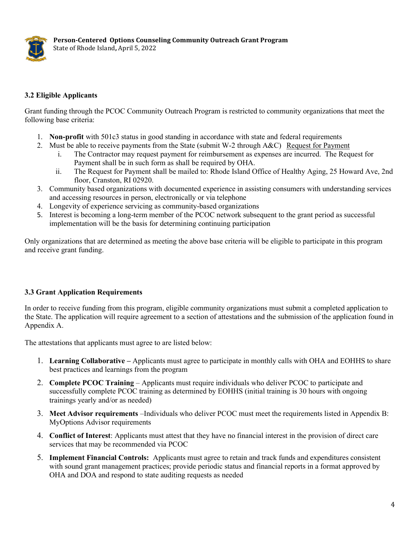

#### 3.2 Eligible Applicants

Grant funding through the PCOC Community Outreach Program is restricted to community organizations that meet the following base criteria:

- 1. Non-profit with 501c3 status in good standing in accordance with state and federal requirements
- 2. Must be able to receive payments from the State (submit W-2 through A&C) Request for Payment
	- i. The Contractor may request payment for reimbursement as expenses are incurred. The Request for Payment shall be in such form as shall be required by OHA.
	- ii. The Request for Payment shall be mailed to: Rhode Island Office of Healthy Aging, 25 Howard Ave, 2nd floor, Cranston, RI 02920.
- 3. Community based organizations with documented experience in assisting consumers with understanding services and accessing resources in person, electronically or via telephone
- 4. Longevity of experience servicing as community-based organizations
- 5. Interest is becoming a long-term member of the PCOC network subsequent to the grant period as successful implementation will be the basis for determining continuing participation

Only organizations that are determined as meeting the above base criteria will be eligible to participate in this program and receive grant funding.

#### 3.3 Grant Application Requirements

In order to receive funding from this program, eligible community organizations must submit a completed application to the State. The application will require agreement to a section of attestations and the submission of the application found in Appendix A.

The attestations that applicants must agree to are listed below:

- 1. Learning Collaborative Applicants must agree to participate in monthly calls with OHA and EOHHS to share best practices and learnings from the program
- 2. Complete PCOC Training Applicants must require individuals who deliver PCOC to participate and successfully complete PCOC training as determined by EOHHS (initial training is 30 hours with ongoing trainings yearly and/or as needed)
- 3. Meet Advisor requirements –Individuals who deliver PCOC must meet the requirements listed in Appendix B: MyOptions Advisor requirements
- 4. Conflict of Interest: Applicants must attest that they have no financial interest in the provision of direct care services that may be recommended via PCOC
- 5. Implement Financial Controls: Applicants must agree to retain and track funds and expenditures consistent with sound grant management practices; provide periodic status and financial reports in a format approved by OHA and DOA and respond to state auditing requests as needed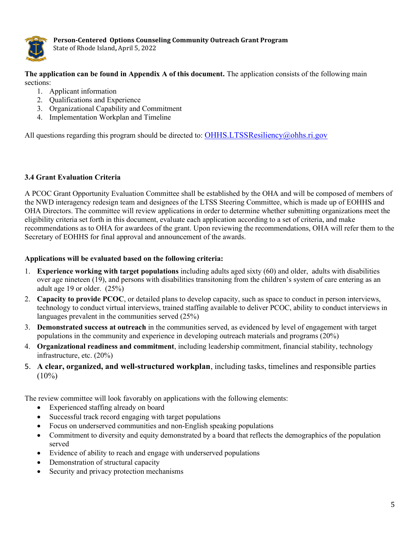

The application can be found in Appendix A of this document. The application consists of the following main sections:

- 1. Applicant information
- 2. Qualifications and Experience
- 3. Organizational Capability and Commitment
- 4. Implementation Workplan and Timeline

All questions regarding this program should be directed to: OHHS.LTSSResiliency@ohhs.ri.gov

#### 3.4 Grant Evaluation Criteria

A PCOC Grant Opportunity Evaluation Committee shall be established by the OHA and will be composed of members of the NWD interagency redesign team and designees of the LTSS Steering Committee, which is made up of EOHHS and OHA Directors. The committee will review applications in order to determine whether submitting organizations meet the eligibility criteria set forth in this document, evaluate each application according to a set of criteria, and make recommendations as to OHA for awardees of the grant. Upon reviewing the recommendations, OHA will refer them to the Secretary of EOHHS for final approval and announcement of the awards.

#### Applications will be evaluated based on the following criteria:

- 1. Experience working with target populations including adults aged sixty (60) and older, adults with disabilities over age nineteen (19), and persons with disabilities transitoning from the children's system of care entering as an adult age 19 or older. (25%)
- 2. Capacity to provide PCOC, or detailed plans to develop capacity, such as space to conduct in person interviews, technology to conduct virtual interviews, trained staffing available to deliver PCOC, ability to conduct interviews in languages prevalent in the communities served (25%)
- 3. Demonstrated success at outreach in the communities served, as evidenced by level of engagement with target populations in the community and experience in developing outreach materials and programs (20%)
- 4. Organizational readiness and commitment, including leadership commitment, financial stability, technology infrastructure, etc. (20%)
- 5. A clear, organized, and well-structured workplan, including tasks, timelines and responsible parties  $(10\%)$

The review committee will look favorably on applications with the following elements:

- Experienced staffing already on board
- Successful track record engaging with target populations
- Focus on underserved communities and non-English speaking populations
- Commitment to diversity and equity demonstrated by a board that reflects the demographics of the population served
- Evidence of ability to reach and engage with underserved populations
- Demonstration of structural capacity
- Security and privacy protection mechanisms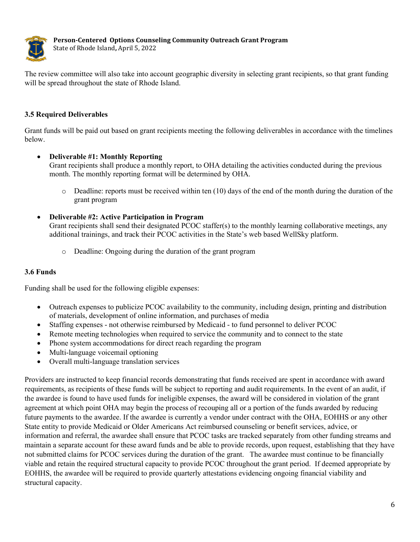

The review committee will also take into account geographic diversity in selecting grant recipients, so that grant funding will be spread throughout the state of Rhode Island.

## 3.5 Required Deliverables

Grant funds will be paid out based on grant recipients meeting the following deliverables in accordance with the timelines below.

#### Deliverable #1: Monthly Reporting

Grant recipients shall produce a monthly report, to OHA detailing the activities conducted during the previous month. The monthly reporting format will be determined by OHA.

- $\circ$  Deadline: reports must be received within ten (10) days of the end of the month during the duration of the grant program
- Deliverable #2: Active Participation in Program

Grant recipients shall send their designated PCOC staffer(s) to the monthly learning collaborative meetings, any additional trainings, and track their PCOC activities in the State's web based WellSky platform.

o Deadline: Ongoing during the duration of the grant program

#### 3.6 Funds

Funding shall be used for the following eligible expenses:

- Outreach expenses to publicize PCOC availability to the community, including design, printing and distribution of materials, development of online information, and purchases of media
- Staffing expenses not otherwise reimbursed by Medicaid to fund personnel to deliver PCOC
- Remote meeting technologies when required to service the community and to connect to the state
- Phone system accommodations for direct reach regarding the program
- Multi-language voicemail optioning
- Overall multi-language translation services

Providers are instructed to keep financial records demonstrating that funds received are spent in accordance with award requirements, as recipients of these funds will be subject to reporting and audit requirements. In the event of an audit, if the awardee is found to have used funds for ineligible expenses, the award will be considered in violation of the grant agreement at which point OHA may begin the process of recouping all or a portion of the funds awarded by reducing future payments to the awardee. If the awardee is currently a vendor under contract with the OHA, EOHHS or any other State entity to provide Medicaid or Older Americans Act reimbursed counseling or benefit services, advice, or information and referral, the awardee shall ensure that PCOC tasks are tracked separately from other funding streams and maintain a separate account for these award funds and be able to provide records, upon request, establishing that they have not submitted claims for PCOC services during the duration of the grant. The awardee must continue to be financially viable and retain the required structural capacity to provide PCOC throughout the grant period. If deemed appropriate by EOHHS, the awardee will be required to provide quarterly attestations evidencing ongoing financial viability and structural capacity.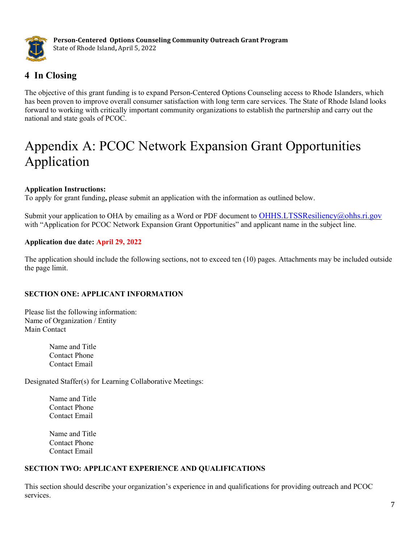

# 4 In Closing

The objective of this grant funding is to expand Person-Centered Options Counseling access to Rhode Islanders, which has been proven to improve overall consumer satisfaction with long term care services. The State of Rhode Island looks forward to working with critically important community organizations to establish the partnership and carry out the national and state goals of PCOC.

# Appendix A: PCOC Network Expansion Grant Opportunities Application

## Application Instructions:

To apply for grant funding, please submit an application with the information as outlined below.

Submit your application to OHA by emailing as a Word or PDF document to OHHS.LTSSResiliency@ohhs.ri.gov with "Application for PCOC Network Expansion Grant Opportunities" and applicant name in the subject line.

## Application due date: April 29, 2022

The application should include the following sections, not to exceed ten (10) pages. Attachments may be included outside the page limit.

# SECTION ONE: APPLICANT INFORMATION

Please list the following information: Name of Organization / Entity Main Contact

> Name and Title Contact Phone Contact Email

Designated Staffer(s) for Learning Collaborative Meetings:

Name and Title Contact Phone Contact Email

Name and Title Contact Phone Contact Email

# SECTION TWO: APPLICANT EXPERIENCE AND QUALIFICATIONS

This section should describe your organization's experience in and qualifications for providing outreach and PCOC services.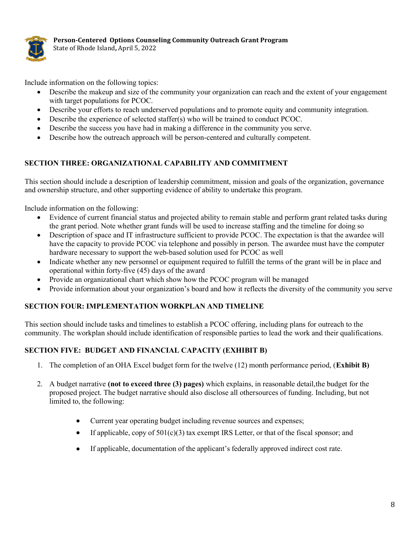

Include information on the following topics:

- Describe the makeup and size of the community your organization can reach and the extent of your engagement with target populations for PCOC.
- Describe your efforts to reach underserved populations and to promote equity and community integration.
- Describe the experience of selected staffer(s) who will be trained to conduct PCOC.
- Describe the success you have had in making a difference in the community you serve.
- Describe how the outreach approach will be person-centered and culturally competent.

#### SECTION THREE: ORGANIZATIONAL CAPABILITY AND COMMITMENT

This section should include a description of leadership commitment, mission and goals of the organization, governance and ownership structure, and other supporting evidence of ability to undertake this program.

Include information on the following:

- Evidence of current financial status and projected ability to remain stable and perform grant related tasks during the grant period. Note whether grant funds will be used to increase staffing and the timeline for doing so
- Description of space and IT infrastructure sufficient to provide PCOC. The expectation is that the awardee will have the capacity to provide PCOC via telephone and possibly in person. The awardee must have the computer hardware necessary to support the web-based solution used for PCOC as well
- Indicate whether any new personnel or equipment required to fulfill the terms of the grant will be in place and operational within forty-five (45) days of the award
- Provide an organizational chart which show how the PCOC program will be managed
- Provide information about your organization's board and how it reflects the diversity of the community you serve

#### SECTION FOUR: IMPLEMENTATION WORKPLAN AND TIMELINE

This section should include tasks and timelines to establish a PCOC offering, including plans for outreach to the community. The workplan should include identification of responsible parties to lead the work and their qualifications.

#### SECTION FIVE: BUDGET AND FINANCIAL CAPACITY (EXHIBIT B)

- 1. The completion of an OHA Excel budget form for the twelve (12) month performance period, (Exhibit B)
- 2. A budget narrative (not to exceed three (3) pages) which explains, in reasonable detail, the budget for the proposed project. The budget narrative should also disclose all other sources of funding. Including, but not limited to, the following:
	- Current year operating budget including revenue sources and expenses;
	- If applicable, copy of  $501(c)(3)$  tax exempt IRS Letter, or that of the fiscal sponsor; and
	- If applicable, documentation of the applicant's federally approved indirect cost rate.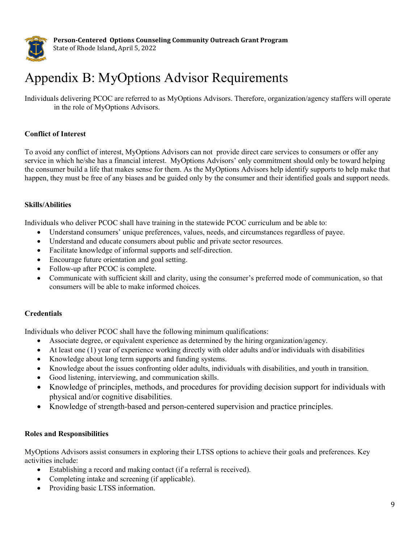

# Appendix B: MyOptions Advisor Requirements

Individuals delivering PCOC are referred to as MyOptions Advisors. Therefore, organization/agency staffers will operate in the role of MyOptions Advisors.

#### Conflict of Interest

To avoid any conflict of interest, MyOptions Advisors can not provide direct care services to consumers or offer any service in which he/she has a financial interest. MyOptions Advisors' only commitment should only be toward helping the consumer build a life that makes sense for them. As the MyOptions Advisors help identify supports to help make that happen, they must be free of any biases and be guided only by the consumer and their identified goals and support needs.

#### Skills/Abilities

Individuals who deliver PCOC shall have training in the statewide PCOC curriculum and be able to:

- Understand consumers' unique preferences, values, needs, and circumstances regardless of payee.
- Understand and educate consumers about public and private sector resources.
- Facilitate knowledge of informal supports and self-direction.
- Encourage future orientation and goal setting.
- Follow-up after PCOC is complete.
- Communicate with sufficient skill and clarity, using the consumer's preferred mode of communication, so that consumers will be able to make informed choices.

#### **Credentials**

Individuals who deliver PCOC shall have the following minimum qualifications:

- Associate degree, or equivalent experience as determined by the hiring organization/agency.
- At least one (1) year of experience working directly with older adults and/or individuals with disabilities
- Knowledge about long term supports and funding systems.
- Knowledge about the issues confronting older adults, individuals with disabilities, and youth in transition.
- Good listening, interviewing, and communication skills.
- Knowledge of principles, methods, and procedures for providing decision support for individuals with physical and/or cognitive disabilities.
- Knowledge of strength-based and person-centered supervision and practice principles.

#### Roles and Responsibilities

MyOptions Advisors assist consumers in exploring their LTSS options to achieve their goals and preferences. Key activities include:

- Establishing a record and making contact (if a referral is received).
- Completing intake and screening (if applicable).
- Providing basic LTSS information.